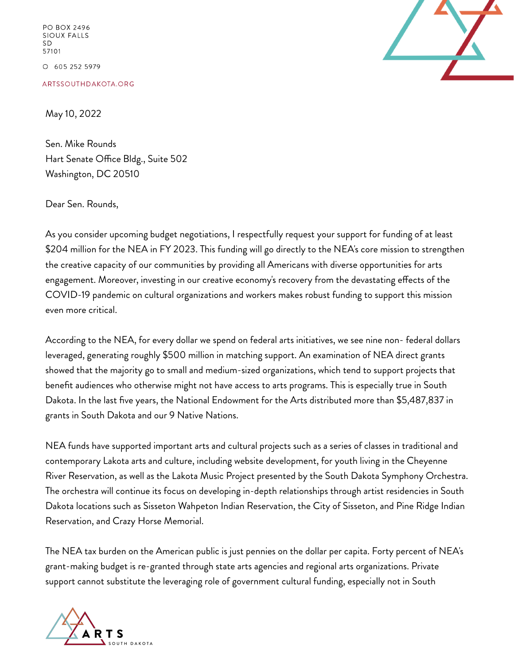PO BOX 2496 **SIOUX FALLS SD** 57101 O 605 252 5979

ARTSSOUTHDAKOTA.ORG

May 10, 2022

Sen. Mike Rounds Hart Senate Office Bldg., Suite 502 Washington, DC 20510

Dear Sen. Rounds,

As you consider upcoming budget negotiations, I respectfully request your support for funding of at least \$204 million for the NEA in FY 2023. This funding will go directly to the NEA's core mission to strengthen the creative capacity of our communities by providing all Americans with diverse opportunities for arts engagement. Moreover, investing in our creative economy's recovery from the devastating effects of the COVID-19 pandemic on cultural organizations and workers makes robust funding to support this mission even more critical.

According to the NEA, for every dollar we spend on federal arts initiatives, we see nine non- federal dollars leveraged, generating roughly \$500 million in matching support. An examination of NEA direct grants showed that the majority go to small and medium-sized organizations, which tend to support projects that benefit audiences who otherwise might not have access to arts programs. This is especially true in South Dakota. In the last five years, the National Endowment for the Arts distributed more than \$5,487,837 in grants in South Dakota and our 9 Native Nations.

NEA funds have supported important arts and cultural projects such as a series of classes in traditional and contemporary Lakota arts and culture, including website development, for youth living in the Cheyenne River Reservation, as well as the Lakota Music Project presented by the South Dakota Symphony Orchestra. The orchestra will continue its focus on developing in-depth relationships through artist residencies in South Dakota locations such as Sisseton Wahpeton Indian Reservation, the City of Sisseton, and Pine Ridge Indian Reservation, and Crazy Horse Memorial.

The NEA tax burden on the American public is just pennies on the dollar per capita. Forty percent of NEA's grant-making budget is re-granted through state arts agencies and regional arts organizations. Private support cannot substitute the leveraging role of government cultural funding, especially not in South